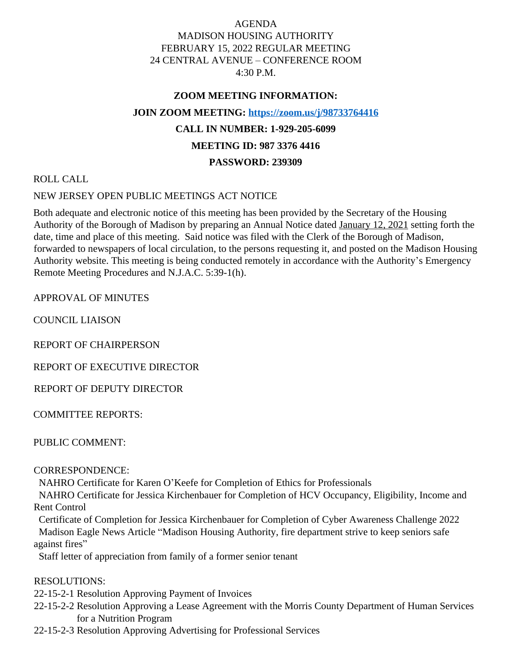# AGENDA MADISON HOUSING AUTHORITY FEBRUARY 15, 2022 REGULAR MEETING 24 CENTRAL AVENUE – CONFERENCE ROOM 4:30 P.M.

#### **ZOOM MEETING INFORMATION:**

#### **JOIN ZOOM MEETING: <https://zoom.us/j/98733764416>**

# **CALL IN NUMBER: 1-929-205-6099**

## **MEETING ID: 987 3376 4416**

#### **PASSWORD: 239309**

#### ROLL CALL

## NEW JERSEY OPEN PUBLIC MEETINGS ACT NOTICE

Both adequate and electronic notice of this meeting has been provided by the Secretary of the Housing Authority of the Borough of Madison by preparing an Annual Notice dated January 12, 2021 setting forth the date, time and place of this meeting. Said notice was filed with the Clerk of the Borough of Madison, forwarded to newspapers of local circulation, to the persons requesting it, and posted on the Madison Housing Authority website. This meeting is being conducted remotely in accordance with the Authority's Emergency Remote Meeting Procedures and N.J.A.C. 5:39-1(h).

APPROVAL OF MINUTES

COUNCIL LIAISON

REPORT OF CHAIRPERSON

REPORT OF EXECUTIVE DIRECTOR

REPORT OF DEPUTY DIRECTOR

COMMITTEE REPORTS:

PUBLIC COMMENT:

CORRESPONDENCE:

NAHRO Certificate for Karen O'Keefe for Completion of Ethics for Professionals

 NAHRO Certificate for Jessica Kirchenbauer for Completion of HCV Occupancy, Eligibility, Income and Rent Control

 Certificate of Completion for Jessica Kirchenbauer for Completion of Cyber Awareness Challenge 2022 Madison Eagle News Article "Madison Housing Authority, fire department strive to keep seniors safe against fires"

Staff letter of appreciation from family of a former senior tenant

## RESOLUTIONS:

22-15-2-1 Resolution Approving Payment of Invoices

- 22-15-2-2 Resolution Approving a Lease Agreement with the Morris County Department of Human Services for a Nutrition Program
- 22-15-2-3 Resolution Approving Advertising for Professional Services